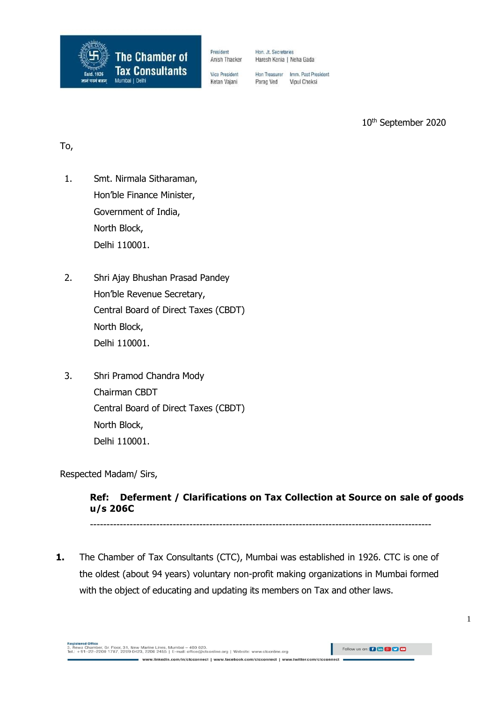

President Anish Thacker

Hon. Jt. Secretaries Haresh Kenia | Neha Gada

**Vice President** Ketan Vajani

Hon Treasurer Imm. Past President Parag Ved Vipul Choksi

10th September 2020

## To,

- 1. Smt. Nirmala Sitharaman, Hon'ble Finance Minister, Government of India, North Block, Delhi 110001.
- 2. Shri Ajay Bhushan Prasad Pandey Hon'ble Revenue Secretary, Central Board of Direct Taxes (CBDT) North Block, Delhi 110001.
- 3. Shri Pramod Chandra Mody Chairman CBDT Central Board of Direct Taxes (CBDT) North Block, Delhi 110001.

Respected Madam/ Sirs,

## **Ref: Deferment / Clarifications on Tax Collection at Source on sale of goods u/s 206C**

-------------------------------------------------------------------------------------------------------

**1.** The Chamber of Tax Consultants (CTC), Mumbai was established in 1926. CTC is one of the oldest (about 94 years) voluntary non-profit making organizations in Mumbai formed with the object of educating and updating its members on Tax and other laws.

nect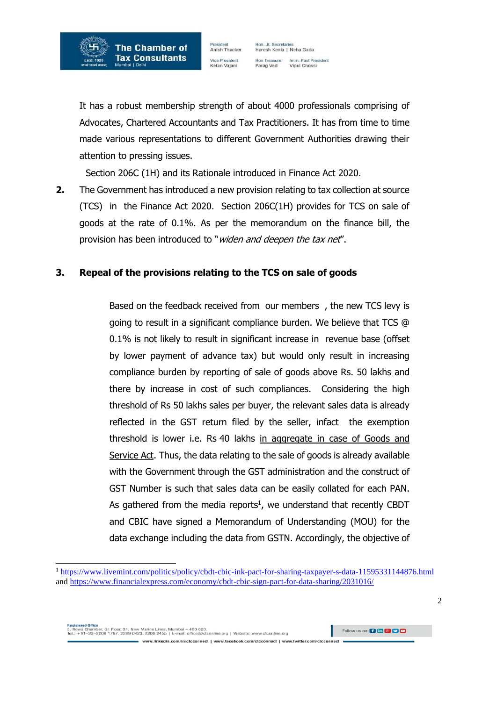

Hon. Jt. Secretaries<br>Haresh Kenia | Neha Gada Hon Treasurer Imm. Past President Parag Ved Vipul Choksi

It has a robust membership strength of about 4000 professionals comprising of Advocates, Chartered Accountants and Tax Practitioners. It has from time to time made various representations to different Government Authorities drawing their attention to pressing issues.

Section 206C (1H) and its Rationale introduced in Finance Act 2020.

**2.** The Government has introduced a new provision relating to tax collection at source (TCS) in the Finance Act 2020. Section 206C(1H) provides for TCS on sale of goods at the rate of 0.1%. As per the memorandum on the finance bill, the provision has been introduced to "widen and deepen the tax net".

### **3. Repeal of the provisions relating to the TCS on sale of goods**

Based on the feedback received from our members , the new TCS levy is going to result in a significant compliance burden. We believe that TCS @ 0.1% is not likely to result in significant increase in revenue base (offset by lower payment of advance tax) but would only result in increasing compliance burden by reporting of sale of goods above Rs. 50 lakhs and there by increase in cost of such compliances. Considering the high threshold of Rs 50 lakhs sales per buyer, the relevant sales data is already reflected in the GST return filed by the seller, infact the exemption threshold is lower i.e. Rs 40 lakhs in aggregate in case of Goods and Service Act. Thus, the data relating to the sale of goods is already available with the Government through the GST administration and the construct of GST Number is such that sales data can be easily collated for each PAN. As gathered from the media reports<sup>1</sup>, we understand that recently CBDT and CBIC have signed a Memorandum of Understanding (MOU) for the data exchange including the data from GSTN. Accordingly, the objective of

- Rewa Chamber, Gr. Floor, 31, New Marine Lines, Mumbal – 400 020.<br>el.: +91–22–2200 1787, 2209 0423, 2200 2455 | E-mail: office@ctconline.org | Website: www.ctconline.org

Follow us on: 0 m 8 0 0

www.linkedin.com/in/ctcconnect | www.facebook.com/ctcconnect | www.twitter.com/ctcconnect

<sup>1</sup> <https://www.livemint.com/politics/policy/cbdt-cbic-ink-pact-for-sharing-taxpayer-s-data-11595331144876.html> and<https://www.financialexpress.com/economy/cbdt-cbic-sign-pact-for-data-sharing/2031016/>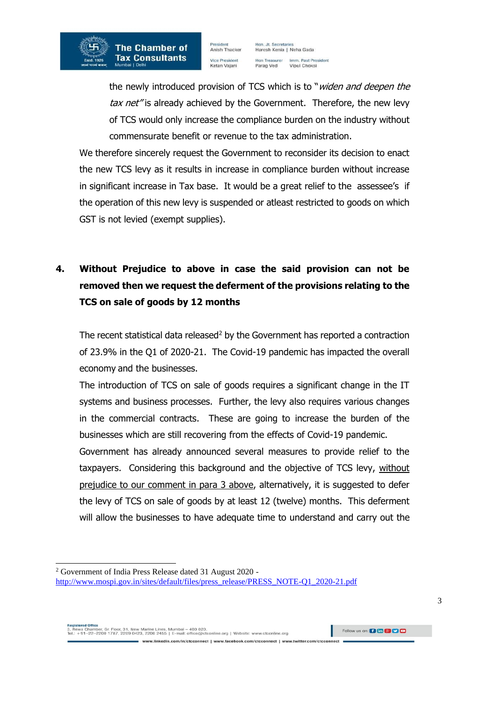Hon. Jt. Secretaries<br>Haresh Kenia | Neha Gada Imm. Past President Hon Treasurer Parag Ved Vipul Choksi

the newly introduced provision of TCS which is to "*widen and deepen the* tax net" is already achieved by the Government. Therefore, the new levy of TCS would only increase the compliance burden on the industry without commensurate benefit or revenue to the tax administration.

We therefore sincerely request the Government to reconsider its decision to enact the new TCS levy as it results in increase in compliance burden without increase in significant increase in Tax base. It would be a great relief to the assessee's if the operation of this new levy is suspended or atleast restricted to goods on which GST is not levied (exempt supplies).

# **4. Without Prejudice to above in case the said provision can not be removed then we request the deferment of the provisions relating to the TCS on sale of goods by 12 months**

The recent statistical data released<sup>2</sup> by the Government has reported a contraction of 23.9% in the Q1 of 2020-21. The Covid-19 pandemic has impacted the overall economy and the businesses.

The introduction of TCS on sale of goods requires a significant change in the IT systems and business processes. Further, the levy also requires various changes in the commercial contracts. These are going to increase the burden of the businesses which are still recovering from the effects of Covid-19 pandemic.

Government has already announced several measures to provide relief to the taxpayers. Considering this background and the objective of TCS levy, without prejudice to our comment in para 3 above, alternatively, it is suggested to defer the levy of TCS on sale of goods by at least 12 (twelve) months. This deferment will allow the businesses to have adequate time to understand and carry out the

www.linkedin.com/in/ctcconnect | www.facebook.com/ctcconnect | www.twitter.com/ctcconnect

. Rewa Chamber, Gr. Floor, 31, New Marine Lines, Mumbai – 400 020.<br>II.: +91–22–2200 1787, 2209 0423, 2200 2455 | E-mail: office@ctconline.org | Website: www.ctconline.org

Follow us on: 0 m 8 0 0

<sup>2</sup> Government of India Press Release dated 31 August 2020 -

[http://www.mospi.gov.in/sites/default/files/press\\_release/PRESS\\_NOTE-Q1\\_2020-21.pdf](http://www.mospi.gov.in/sites/default/files/press_release/PRESS_NOTE-Q1_2020-21.pdf)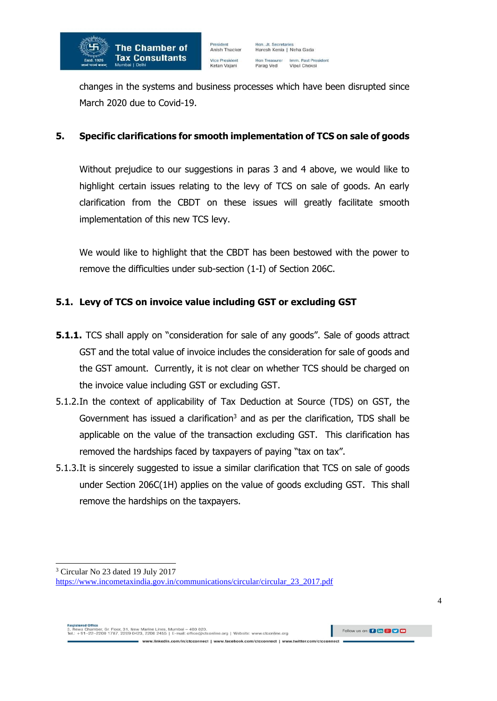

changes in the systems and business processes which have been disrupted since March 2020 due to Covid-19.

### **5. Specific clarifications for smooth implementation of TCS on sale of goods**

Without prejudice to our suggestions in paras 3 and 4 above, we would like to highlight certain issues relating to the levy of TCS on sale of goods. An early clarification from the CBDT on these issues will greatly facilitate smooth implementation of this new TCS levy.

We would like to highlight that the CBDT has been bestowed with the power to remove the difficulties under sub-section (1-I) of Section 206C.

## **5.1. Levy of TCS on invoice value including GST or excluding GST**

- **5.1.1.** TCS shall apply on "consideration for sale of any goods". Sale of goods attract GST and the total value of invoice includes the consideration for sale of goods and the GST amount. Currently, it is not clear on whether TCS should be charged on the invoice value including GST or excluding GST.
- 5.1.2.In the context of applicability of Tax Deduction at Source (TDS) on GST, the Government has issued a clarification<sup>3</sup> and as per the clarification, TDS shall be applicable on the value of the transaction excluding GST. This clarification has removed the hardships faced by taxpayers of paying "tax on tax".
- 5.1.3.It is sincerely suggested to issue a similar clarification that TCS on sale of goods under Section 206C(1H) applies on the value of goods excluding GST. This shall remove the hardships on the taxpayers.

<sup>&</sup>lt;sup>3</sup> Circular No 23 dated 19 July 2017

[https://www.incometaxindia.gov.in/communications/circular/circular\\_23\\_2017.pdf](https://www.incometaxindia.gov.in/communications/circular/circular_23_2017.pdf)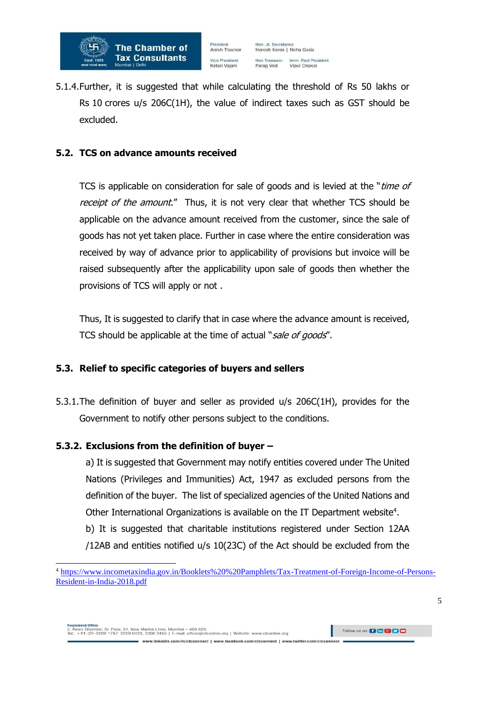

5.1.4.Further, it is suggested that while calculating the threshold of Rs 50 lakhs or Rs 10 crores u/s 206C(1H), the value of indirect taxes such as GST should be excluded.

#### **5.2. TCS on advance amounts received**

TCS is applicable on consideration for sale of goods and is levied at the "time of receipt of the amount." Thus, it is not very clear that whether TCS should be applicable on the advance amount received from the customer, since the sale of goods has not yet taken place. Further in case where the entire consideration was received by way of advance prior to applicability of provisions but invoice will be raised subsequently after the applicability upon sale of goods then whether the provisions of TCS will apply or not .

Thus, It is suggested to clarify that in case where the advance amount is received, TCS should be applicable at the time of actual "sale of goods".

#### **5.3. Relief to specific categories of buyers and sellers**

5.3.1.The definition of buyer and seller as provided u/s 206C(1H), provides for the Government to notify other persons subject to the conditions.

#### **5.3.2. Exclusions from the definition of buyer –**

a) It is suggested that Government may notify entities covered under The United Nations (Privileges and Immunities) Act, 1947 as excluded persons from the definition of the buyer. The list of specialized agencies of the United Nations and Other International Organizations is available on the IT Department website<sup>4</sup>.

b) It is suggested that charitable institutions registered under Section 12AA /12AB and entities notified u/s 10(23C) of the Act should be excluded from the

www.linkedin.com/in/clcconnect | www.facebook.com/clcconnect | www.twitter.com/clcconnect

<sup>4</sup> [https://www.incometaxindia.gov.in/Booklets%20%20Pamphlets/Tax-Treatment-of-Foreign-Income-of-Persons-](https://www.incometaxindia.gov.in/Booklets%20%20Pamphlets/Tax-Treatment-of-Foreign-Income-of-Persons-Resident-in-India-2018.pdf)[Resident-in-India-2018.pdf](https://www.incometaxindia.gov.in/Booklets%20%20Pamphlets/Tax-Treatment-of-Foreign-Income-of-Persons-Resident-in-India-2018.pdf)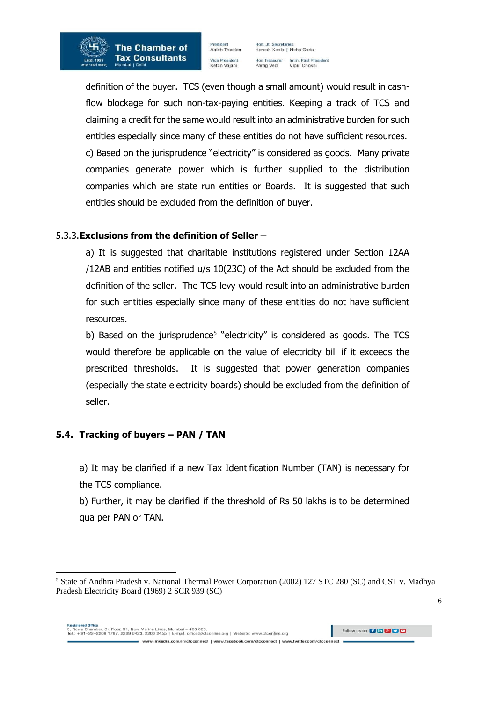

Hon. Jt. Secretaries<br>Haresh Kenia | Neha Gada Hon Treasurer Imm. Past President Parag Ved Vipul Choksi

definition of the buyer. TCS (even though a small amount) would result in cashflow blockage for such non-tax-paying entities. Keeping a track of TCS and claiming a credit for the same would result into an administrative burden for such entities especially since many of these entities do not have sufficient resources. c) Based on the jurisprudence "electricity" is considered as goods. Many private companies generate power which is further supplied to the distribution companies which are state run entities or Boards. It is suggested that such entities should be excluded from the definition of buyer.

## 5.3.3.**Exclusions from the definition of Seller –**

a) It is suggested that charitable institutions registered under Section 12AA /12AB and entities notified u/s 10(23C) of the Act should be excluded from the definition of the seller. The TCS levy would result into an administrative burden for such entities especially since many of these entities do not have sufficient resources.

b) Based on the jurisprudence<sup>5</sup> "electricity" is considered as goods. The TCS would therefore be applicable on the value of electricity bill if it exceeds the prescribed thresholds. It is suggested that power generation companies (especially the state electricity boards) should be excluded from the definition of seller.

## **5.4. Tracking of buyers – PAN / TAN**

a) It may be clarified if a new Tax Identification Number (TAN) is necessary for the TCS compliance.

b) Further, it may be clarified if the threshold of Rs 50 lakhs is to be determined qua per PAN or TAN.

Follow us on: 0 m 8 0 0

<sup>5</sup> State of Andhra Pradesh v. National Thermal Power Corporation (2002) 127 STC 280 (SC) and CST v. Madhya Pradesh Electricity Board (1969) 2 SCR 939 (SC)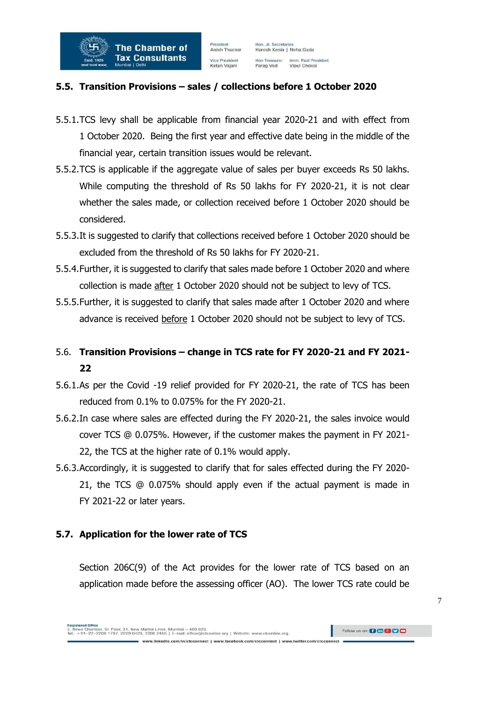

### **5.5. Transition Provisions – sales / collections before 1 October 2020**

- 5.5.1.TCS levy shall be applicable from financial year 2020-21 and with effect from 1 October 2020. Being the first year and effective date being in the middle of the financial year, certain transition issues would be relevant.
- 5.5.2.TCS is applicable if the aggregate value of sales per buyer exceeds Rs 50 lakhs. While computing the threshold of Rs 50 lakhs for FY 2020-21, it is not clear whether the sales made, or collection received before 1 October 2020 should be considered.
- 5.5.3.It is suggested to clarify that collections received before 1 October 2020 should be excluded from the threshold of Rs 50 lakhs for FY 2020-21.
- 5.5.4.Further, it is suggested to clarify that sales made before 1 October 2020 and where collection is made after 1 October 2020 should not be subject to levy of TCS.
- 5.5.5.Further, it is suggested to clarify that sales made after 1 October 2020 and where advance is received before 1 October 2020 should not be subject to levy of TCS.

## 5.6. **Transition Provisions – change in TCS rate for FY 2020-21 and FY 2021- 22**

- 5.6.1.As per the Covid -19 relief provided for FY 2020-21, the rate of TCS has been reduced from 0.1% to 0.075% for the FY 2020-21.
- 5.6.2.In case where sales are effected during the FY 2020-21, the sales invoice would cover TCS @ 0.075%. However, if the customer makes the payment in FY 2021- 22, the TCS at the higher rate of 0.1% would apply.
- 5.6.3.Accordingly, it is suggested to clarify that for sales effected during the FY 2020- 21, the TCS @ 0.075% should apply even if the actual payment is made in FY 2021-22 or later years.

#### **5.7. Application for the lower rate of TCS**

Section 206C(9) of the Act provides for the lower rate of TCS based on an application made before the assessing officer (AO). The lower TCS rate could be